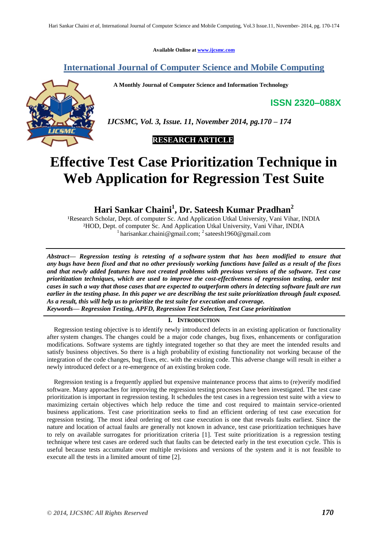**Available Online at [www.ijcsmc.com](http://www.ijcsmc.com/)**

## **International Journal of Computer Science and Mobile Computing**

 **A Monthly Journal of Computer Science and Information Technology**

**ISSN 2320–088X**



 *IJCSMC, Vol. 3, Issue. 11, November 2014, pg.170 – 174*



# **Effective Test Case Prioritization Technique in Web Application for Regression Test Suite**

**Hari Sankar Chaini<sup>1</sup> , Dr. Sateesh Kumar Pradhan<sup>2</sup>**

<sup>1</sup>Research Scholar, Dept. of computer Sc. And Application Utkal University, Vani Vihar, INDIA ²HOD, Dept. of computer Sc. And Application Utkal University, Vani Vihar, INDIA <sup>1</sup> harisankar.chaini@gmail.com; <sup>2</sup> sateesh1960@gmail.com

*Abstract— Regression testing is retesting of a [software](http://www.webopedia.com/TERM/S/software.html) system that has been modified to ensure that any [bugs](http://www.webopedia.com/TERM/B/bug.html) have been fixed and that no other previously working functions have failed as a result of the fixes and that newly added features have not created problems with previous versions of the software. Test case prioritization techniques, which are used to improve the cost-effectiveness of regression testing, order test cases in such a way that those cases that are expected to outperform others in detecting software fault are run earlier in the testing phase. In this paper we are describing the test suite prioritization through fault exposed. As a result, this will help us to prioritize the test suite for execution and coverage. Keywords— Regression Testing, APFD, Regression Test Selection, Test Case prioritization*

### **I. INTRODUCTION**

Regression testing objective is to identify newly introduced defects in an existing application or functionality after system changes. The changes could be a major code changes, bug fixes, enhancements or configuration modifications. Software systems are tightly integrated together so that they are meet the intended results and satisfy business objectives. So there is a high probability of existing functionality not working because of the integration of the code changes, bug fixes, etc. with the existing code. This adverse change will result in either a newly introduced defect or a re-emergence of an existing broken code.

Regression testing is a frequently applied but expensive maintenance process that aims to (re)verify modified software. Many approaches for improving the regression testing processes have been investigated. The test case prioritization is important in regression testing. It schedules the test cases in a regression test suite with a view to maximizing certain objectives which help reduce the time and cost required to maintain service-oriented business applications. Test case prioritization seeks to find an efficient ordering of test case execution for regression testing. The most ideal ordering of test case execution is one that reveals faults earliest. Since the nature and location of actual faults are generally not known in advance, test case prioritization techniques have to rely on available surrogates for prioritization criteria [1]. Test suite prioritization is a regression testing technique where test cases are ordered such that faults can be detected early in the test execution cycle. This is useful because tests accumulate over multiple revisions and versions of the system and it is not feasible to execute all the tests in a limited amount of time [2].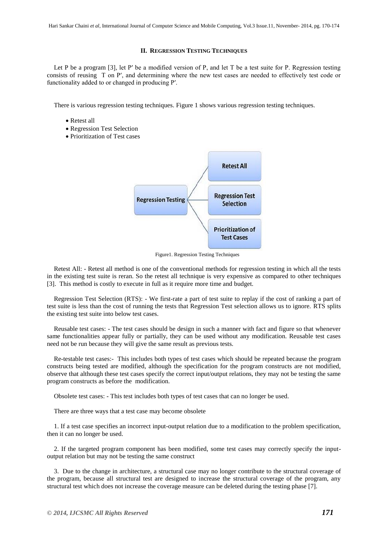#### **II. REGRESSION TESTING TECHNIQUES**

Let P be a program [3], let P' be a modified version of P, and let T be a test suite for P. Regression testing consists of reusing T on P′, and determining where the new test cases are needed to effectively test code or functionality added to or changed in producing P′.

There is various regression testing techniques. Figure 1 shows various regression testing techniques.

- Retest all
- Regression Test Selection
- Prioritization of Test cases



Figure1. Regression Testing Techniques

Retest All: - Retest all method is one of the conventional methods for regression testing in which all the tests in the existing test suite is reran. So the retest all technique is very expensive as compared to other techniques [3]. This method is costly to execute in full as it require more time and budget.

Regression Test Selection (RTS): - We first-rate a part of test suite to replay if the cost of ranking a part of test suite is less than the cost of running the tests that Regression Test selection allows us to ignore. RTS splits the existing test suite into below test cases.

Reusable test cases: - The test cases should be design in such a manner with fact and figure so that whenever same functionalities appear fully or partially, they can be used without any modification. Reusable test cases need not be run because they will give the same result as previous tests.

Re-testable test cases:- This includes both types of test cases which should be repeated because the program constructs being tested are modified, although the specification for the program constructs are not modified, observe that although these test cases specify the correct input/output relations, they may not be testing the same program constructs as before the modification.

Obsolete test cases: - This test includes both types of test cases that can no longer be used.

There are three ways that a test case may become obsolete

1. If a test case specifies an incorrect input-output relation due to a modification to the problem specification, then it can no longer be used.

2. If the targeted program component has been modified, some test cases may correctly specify the inputoutput relation but may not be testing the same construct

3. Due to the change in architecture, a structural case may no longer contribute to the structural coverage of the program, because all structural test are designed to increase the structural coverage of the program, any structural test which does not increase the coverage measure can be deleted during the testing phase [7].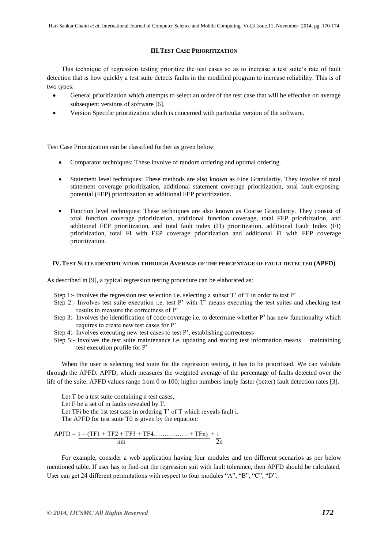#### **III.TEST CASE PRIORITIZATION**

This technique of regression testing prioritize the test cases so as to increase a test suite"s rate of fault detection that is how quickly a test suite detects faults in the modified program to increase reliability. This is of two types:

- General prioritization which attempts to select an order of the test case that will be effective on average subsequent versions of software [6].
- Version Specific prioritization which is concerned with particular version of the software.

Test Case Prioritization can be classified further as given below:

- Comparator techniques: These involve of random ordering and optimal ordering.
- Statement level techniques: These methods are also known as Fine Granularity. They involve of total statement coverage prioritization, additional statement coverage prioritization, total fault-exposingpotential (FEP) prioritization an additional FEP prioritization.
- Function level techniques: These techniques are also known as Coarse Granularity. They consist of total function coverage prioritization, additional function coverage, total FEP prioritization, and additional FEP prioritization, and total fault index (FI) prioritization, additional Fault Index (FI) prioritization, total FI with FEP coverage prioritization and additional FI with FEP coverage prioritization.

#### **IV.TEST SUITE IDENTIFICATION THROUGH AVERAGE OF THE PERCENTAGE OF FAULT DETECTED (APFD)**

As described in [9], a typical regression testing procedure can be elaborated as:

- Step 1:- Involves the regression test selection i.e. selecting a subset T' of T in order to test P'
- Step 2:- Involves test suite execution i.e. test P' with T' means executing the test suites and checking test results to measure the correctness of P"
- Step 3:- Involves the identification of code coverage i.e. to determine whether P" has new functionality which requires to create new test cases for P"
- Step 4:- Involves executing new test cases to test P', establishing correctness
- Step 5:- Involves the test suite maintenance i.e. updating and storing test information means maintaining test execution profile for P"

When the user is selecting test suite for the regression testing, it has to be prioritized. We can validate through the APFD. APFD, which measures the weighted average of the percentage of faults detected over the life of the suite. APFD values range from 0 to 100; higher numbers imply faster (better) fault detection rates [3].

Let T be a test suite containing n test cases,

Let F be a set of m faults revealed by T.

Let TFi be the 1st test case in ordering T' of T which reveals fault i.

The APFD for test suite T0 is given by the equation:

$$
APFD = 1 - (TF1 + TF2 + TF3 + TF4............ + TFn) + 1\nnm
$$

For example, consider a web application having four modules and ten different scenarios as per below mentioned table. If user has to find out the regression suit with fault tolerance, then APFD should be calculated. User can get 24 different permutations with respect to four modules "A", "B", "C", "D".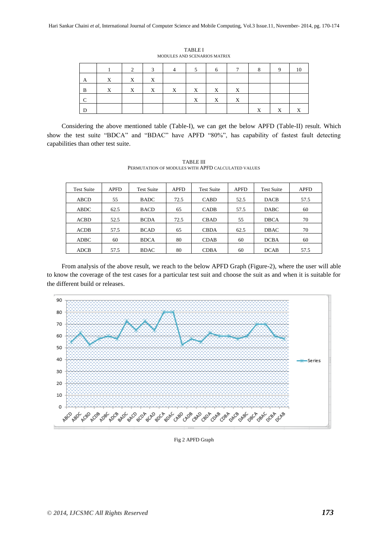|              |             |   | $\mathbf{a}$ | $\Delta$     |             | 6           |                           | 8           | Q |  |
|--------------|-------------|---|--------------|--------------|-------------|-------------|---------------------------|-------------|---|--|
| $\mathbf{A}$ | $\mathbf X$ | X | $\mathbf{X}$ |              |             |             |                           |             |   |  |
| B            | $\mathbf X$ | X | X            | $\mathbf{X}$ | $\mathbf X$ | $\mathbf X$ | $\mathbf{X}$              |             |   |  |
|              |             |   |              |              | X           | X           | $\boldsymbol{\mathrm{X}}$ |             |   |  |
| D            |             |   |              |              |             |             |                           | $\mathbf v$ | X |  |

TABLE I MODULES AND SCENARIOS MATRIX

Considering the above mentioned table (Table-I), we can get the below APFD (Table-II) result. Which show the test suite "BDCA" and "BDAC" have APFD "80%", has capability of fastest fault detecting capabilities than other test suite.

Test Suite APFD Test Suite APFD Test Suite APFD Test Suite APFD ABCD | 55 | BADC | 72.5 | CABD | 52.5 | DACB | 57.5 ABDC | 62.5 | BACD | 65 | CADB | 57.5 | DABC | 60 ACBD | 52.5 | BCDA | 72.5 | CBAD | 55 | DBCA | 70 ACDB | 57.5 | BCAD | 65 | CBDA | 62.5 | DBAC | 70 ADBC | 60 | BDCA | 80 | CDAB | 60 | DCBA | 60 ADCB | 57.5 | BDAC | 80 | CDBA | 60 | DCAB | 57.5

TABLE III PERMUTATION OF MODULES WITH APFD CALCULATED VALUES

From analysis of the above result, we reach to the below APFD Graph (Figure-2), where the user will able to know the coverage of the test cases for a particular test suit and choose the suit as and when it is suitable for the different build or releases.



Fig 2 APFD Graph